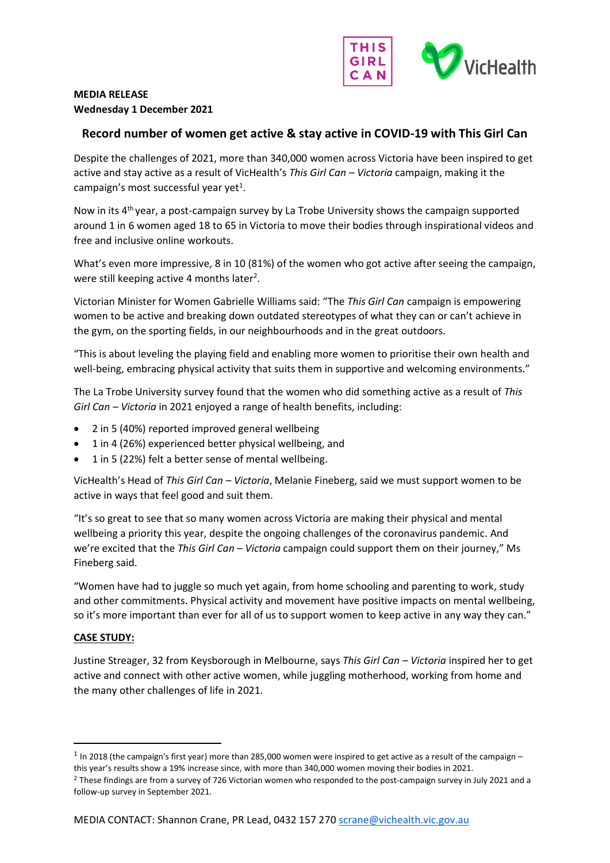

# **MEDIA RELEASE Wednesday 1 December 2021**

## **Record number of women get active & stay active in COVID-19 with This Girl Can**

Despite the challenges of 2021, more than 340,000 women across Victoria have been inspired to get active and stay active as a result of VicHealth's *This Girl Can – Victoria* campaign, making it the campaign's most successful year yet<sup>1</sup>.

Now in its 4<sup>th</sup> year, a post-campaign survey by La Trobe University shows the campaign supported around 1 in 6 women aged 18 to 65 in Victoria to move their bodies through inspirational videos and free and inclusive online workouts.

What's even more impressive, 8 in 10 (81%) of the women who got active after seeing the campaign, were still keeping active 4 months later<sup>2</sup>.

Victorian Minister for Women Gabrielle Williams said: "The *This Girl Can* campaign is empowering women to be active and breaking down outdated stereotypes of what they can or can't achieve in the gym, on the sporting fields, in our neighbourhoods and in the great outdoors.

"This is about leveling the playing field and enabling more women to prioritise their own health and well-being, embracing physical activity that suits them in supportive and welcoming environments."

The La Trobe University survey found that the women who did something active as a result of *This Girl Can – Victoria* in 2021 enjoyed a range of health benefits, including:

- 2 in 5 (40%) reported improved general wellbeing
- 1 in 4 (26%) experienced better physical wellbeing, and
- 1 in 5 (22%) felt a better sense of mental wellbeing.

VicHealth's Head of *This Girl Can – Victoria*, Melanie Fineberg, said we must support women to be active in ways that feel good and suit them.

"It's so great to see that so many women across Victoria are making their physical and mental wellbeing a priority this year, despite the ongoing challenges of the coronavirus pandemic. And we're excited that the *This Girl Can – Victoria* campaign could support them on their journey," Ms Fineberg said.

"Women have had to juggle so much yet again, from home schooling and parenting to work, study and other commitments. Physical activity and movement have positive impacts on mental wellbeing, so it's more important than ever for all of us to support women to keep active in any way they can."

## **CASE STUDY:**

Justine Streager, 32 from Keysborough in Melbourne, says *This Girl Can – Victoria* inspired her to get active and connect with other active women, while juggling motherhood, working from home and the many other challenges of life in 2021.

 $<sup>1</sup>$  In 2018 (the campaign's first year) more than 285,000 women were inspired to get active as a result of the campaign –</sup> this year's results show a 19% increase since, with more than 340,000 women moving their bodies in 2021.

<sup>&</sup>lt;sup>2</sup> These findings are from a survey of 726 Victorian women who responded to the post-campaign survey in July 2021 and a follow-up survey in September 2021.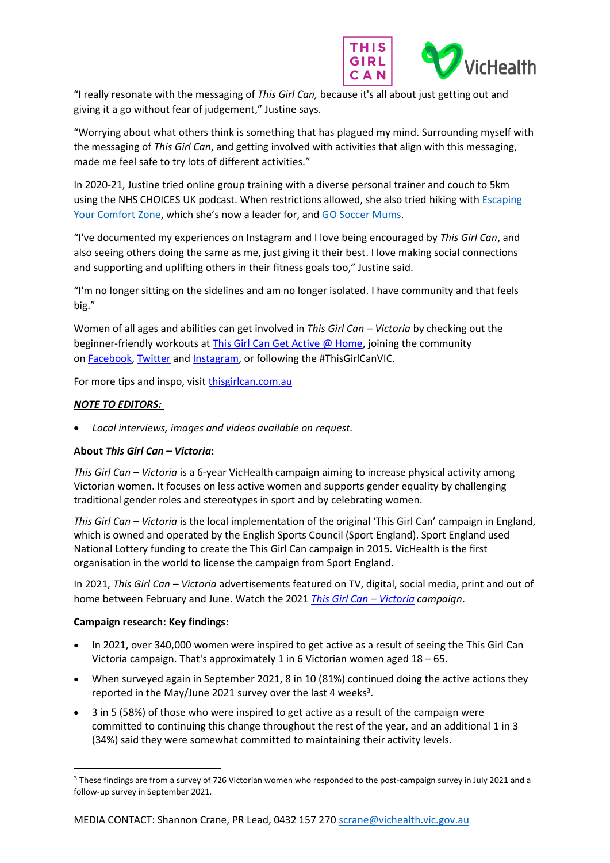

"I really resonate with the messaging of *This Girl Can,* because it's all about just getting out and giving it a go without fear of judgement," Justine says.

"Worrying about what others think is something that has plagued my mind. Surrounding myself with the messaging of *This Girl Can*, and getting involved with activities that align with this messaging, made me feel safe to try lots of different activities."

In 2020-21, Justine tried online group training with a diverse personal trainer and couch to 5km using the NHS CHOICES UK podcast. When restrictions allowed, she also tried hiking with [Escaping](https://www.facebook.com/escapingyourcomfortzone/)  [Your Comfort Zone,](https://www.facebook.com/escapingyourcomfortzone/) which she's now a leader for, and [GO Soccer](https://www.footballvictoria.com.au/go-soccer-mums) Mums.

"I've documented my experiences on Instagram and I love being encouraged by *This Girl Can*, and also seeing others doing the same as me, just giving it their best. I love making social connections and supporting and uplifting others in their fitness goals too," Justine said.

"I'm no longer sitting on the sidelines and am no longer isolated. I have community and that feels big."

Women of all ages and abilities can get involved in *This Girl Can – Victoria* by checking out the beginner-friendly workouts at [This Girl Can Get Active @ Home,](https://thisgirlcan.com.au/active-at-home/) joining the community on [Facebook,](https://www.facebook.com/ThisGirlCanVIC/) [Twitter](https://twitter.com/ThisGirlCanVIC?ref_src=twsrc%5Egoogle%7Ctwcamp%5Eserp%7Ctwgr%5Eauthor) and [Instagram,](https://www.instagram.com/thisgirlcanvic/?hl=en) or following the #ThisGirlCanVIC.

For more tips and inspo, visit [thisgirlcan.com.au](https://thisgirlcan.com.au/)

### *NOTE TO EDITORS:*

• *Local interviews, images and videos available on request.*

## **About** *This Girl Can – Victoria***:**

*This Girl Can – Victoria* is a 6-year VicHealth campaign aiming to increase physical activity among Victorian women. It focuses on less active women and supports gender equality by challenging traditional gender roles and stereotypes in sport and by celebrating women.

*This Girl Can – Victoria* is the local implementation of the original 'This Girl Can' campaign in England, which is owned and operated by the English Sports Council (Sport England). Sport England used National Lottery funding to create the This Girl Can campaign in 2015. VicHealth is the first organisation in the world to license the campaign from Sport England.

In 2021, *This Girl Can – Victoria* advertisements featured on TV, digital, social media, print and out of home between February and June. Watch the 2021 *[This Girl Can](http://www.thisgirlcan.com.au/) – Victoria campaign*.

#### **Campaign research: Key findings:**

- In 2021, over 340,000 women were inspired to get active as a result of seeing the This Girl Can Victoria campaign. That's approximately 1 in 6 Victorian women aged 18 – 65.
- When surveyed again in September 2021, 8 in 10 (81%) continued doing the active actions they reported in the May/June 2021 survey over the last 4 weeks<sup>3</sup>.
- 3 in 5 (58%) of those who were inspired to get active as a result of the campaign were committed to continuing this change throughout the rest of the year, and an additional 1 in 3 (34%) said they were somewhat committed to maintaining their activity levels.

<sup>&</sup>lt;sup>3</sup> These findings are from a survey of 726 Victorian women who responded to the post-campaign survey in July 2021 and a follow-up survey in September 2021.